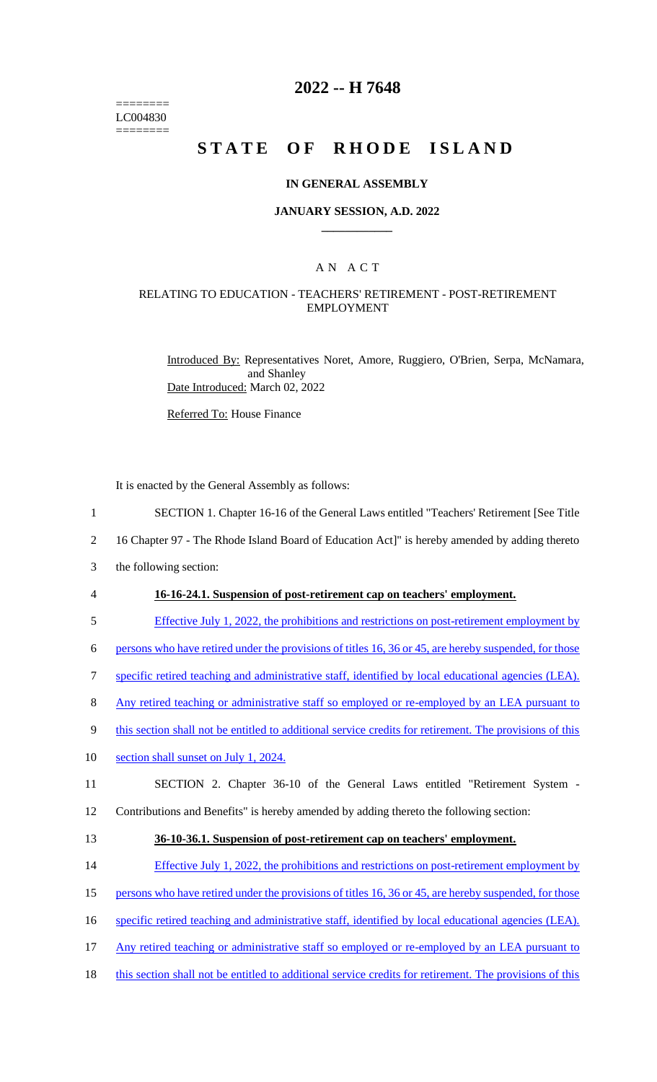======== LC004830 ========

# **2022 -- H 7648**

# **STATE OF RHODE ISLAND**

#### **IN GENERAL ASSEMBLY**

### **JANUARY SESSION, A.D. 2022 \_\_\_\_\_\_\_\_\_\_\_\_**

### A N A C T

### RELATING TO EDUCATION - TEACHERS' RETIREMENT - POST-RETIREMENT EMPLOYMENT

Introduced By: Representatives Noret, Amore, Ruggiero, O'Brien, Serpa, McNamara, and Shanley Date Introduced: March 02, 2022

Referred To: House Finance

It is enacted by the General Assembly as follows:

- 1 SECTION 1. Chapter 16-16 of the General Laws entitled "Teachers' Retirement [See Title
- 2 16 Chapter 97 The Rhode Island Board of Education Act]" is hereby amended by adding thereto
- 3 the following section:
- 

#### 4 **16-16-24.1. Suspension of post-retirement cap on teachers' employment.**

5 Effective July 1, 2022, the prohibitions and restrictions on post-retirement employment by

6 persons who have retired under the provisions of titles 16, 36 or 45, are hereby suspended, for those

- 7 specific retired teaching and administrative staff, identified by local educational agencies (LEA).
- 8 Any retired teaching or administrative staff so employed or re-employed by an LEA pursuant to
- 9 this section shall not be entitled to additional service credits for retirement. The provisions of this
- 10 section shall sunset on July 1, 2024.
- 11 SECTION 2. Chapter 36-10 of the General Laws entitled "Retirement System -

12 Contributions and Benefits" is hereby amended by adding thereto the following section:

- 13 **36-10-36.1. Suspension of post-retirement cap on teachers' employment.**
- 14 Effective July 1, 2022, the prohibitions and restrictions on post-retirement employment by
- 15 persons who have retired under the provisions of titles 16, 36 or 45, are hereby suspended, for those
- 16 specific retired teaching and administrative staff, identified by local educational agencies (LEA).
- 17 Any retired teaching or administrative staff so employed or re-employed by an LEA pursuant to
- 18 this section shall not be entitled to additional service credits for retirement. The provisions of this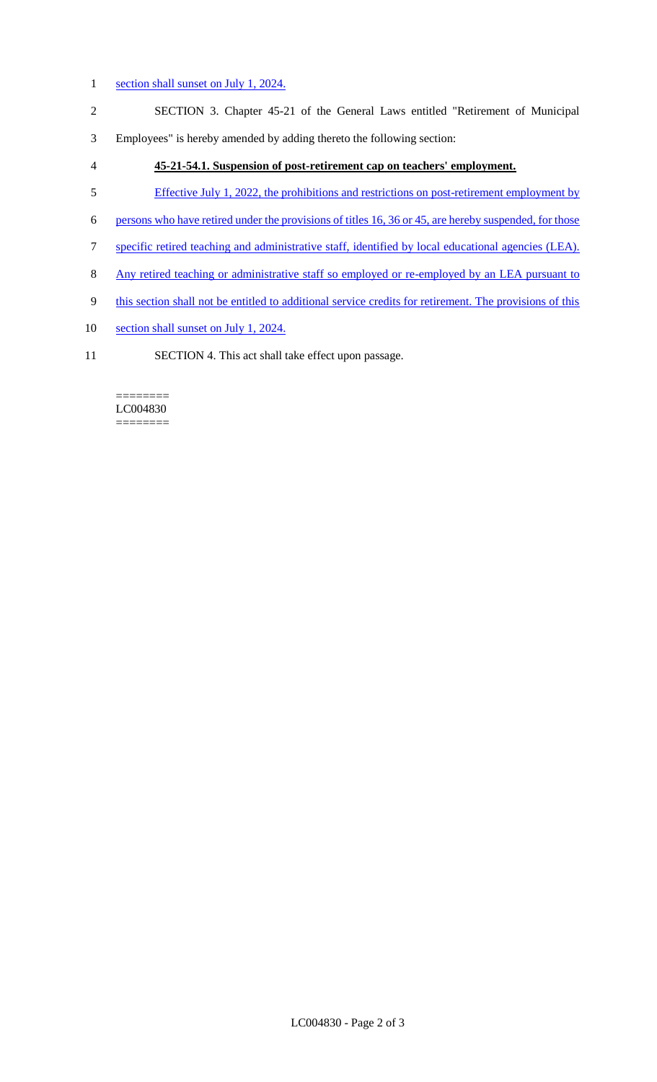### 1 section shall sunset on July 1, 2024.

- 2 SECTION 3. Chapter 45-21 of the General Laws entitled "Retirement of Municipal
- 3 Employees" is hereby amended by adding thereto the following section:
- 4 **45-21-54.1. Suspension of post-retirement cap on teachers' employment.**
- 5 Effective July 1, 2022, the prohibitions and restrictions on post-retirement employment by
- 6 persons who have retired under the provisions of titles 16, 36 or 45, are hereby suspended, for those
- 7 specific retired teaching and administrative staff, identified by local educational agencies (LEA).
- 8 Any retired teaching or administrative staff so employed or re-employed by an LEA pursuant to
- 9 this section shall not be entitled to additional service credits for retirement. The provisions of this
- 10 section shall sunset on July 1, 2024.
- 11 SECTION 4. This act shall take effect upon passage.

#### ======== LC004830 ========